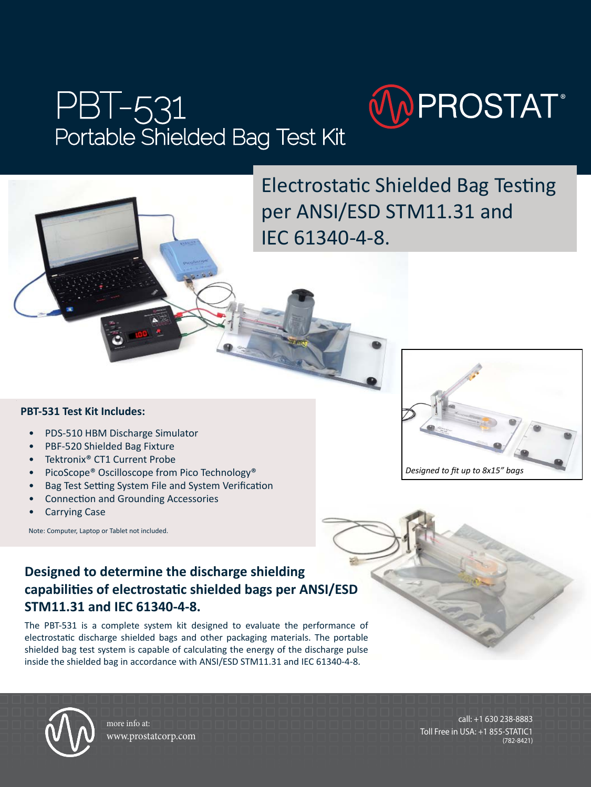# PBT-531 Portable Shielded Bag Test Kit



Electrostatic Shielded Bag Testing per ANSI/ESD STM11.31 and IEC 61340-4-8.

#### **PBT-531 Test Kit Includes:**

- PDS-510 HBM Discharge Simulator
- PBF-520 Shielded Bag Fixture
- Tektronix<sup>®</sup> CT1 Current Probe
- PicoScope® Oscilloscope from Pico Technology®
- Bag Test Setting System File and System Verification
- Connection and Grounding Accessories
- Carrying Case

Note: Computer, Laptop or Tablet not included.



#### **Designed to determine the discharge shielding capabilities of electrostatic shielded bags per ANSI/ESD STM11.31 and IEC 61340-4-8.**

The PBT-531 is a complete system kit designed to evaluate the performance of electrostatic discharge shielded bags and other packaging materials. The portable shielded bag test system is capable of calculating the energy of the discharge pulse inside the shielded bag in accordance with ANSI/ESD STM11.31 and IEC 61340-4-8.





more info at: www.prostatcorp.com

call: +1 630 238-8883 Toll Free in USA: +1 855-STATIC1 (782-8421)